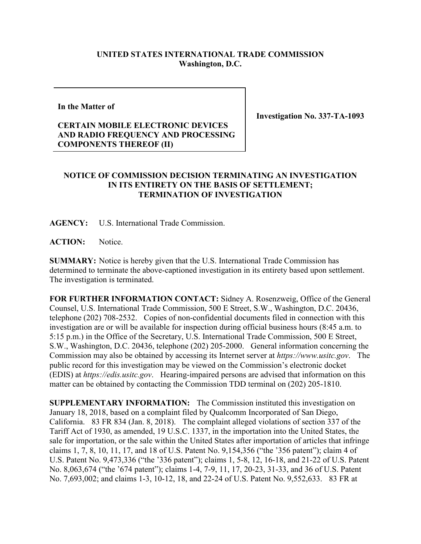## **UNITED STATES INTERNATIONAL TRADE COMMISSION Washington, D.C.**

## **In the Matter of**

## **CERTAIN MOBILE ELECTRONIC DEVICES AND RADIO FREQUENCY AND PROCESSING COMPONENTS THEREOF (II)**

**Investigation No. 337-TA-1093**

## **NOTICE OF COMMISSION DECISION TERMINATING AN INVESTIGATION IN ITS ENTIRETY ON THE BASIS OF SETTLEMENT; TERMINATION OF INVESTIGATION**

**AGENCY:** U.S. International Trade Commission.

ACTION: Notice.

**SUMMARY:** Notice is hereby given that the U.S. International Trade Commission has determined to terminate the above-captioned investigation in its entirety based upon settlement. The investigation is terminated.

**FOR FURTHER INFORMATION CONTACT:** Sidney A. Rosenzweig, Office of the General Counsel, U.S. International Trade Commission, 500 E Street, S.W., Washington, D.C. 20436, telephone (202) 708-2532. Copies of non-confidential documents filed in connection with this investigation are or will be available for inspection during official business hours (8:45 a.m. to 5:15 p.m.) in the Office of the Secretary, U.S. International Trade Commission, 500 E Street, S.W., Washington, D.C. 20436, telephone (202) 205-2000. General information concerning the Commission may also be obtained by accessing its Internet server at *https://www.usitc.gov*. The public record for this investigation may be viewed on the Commission's electronic docket (EDIS) at *https://edis.usitc.gov*. Hearing-impaired persons are advised that information on this matter can be obtained by contacting the Commission TDD terminal on (202) 205-1810.

**SUPPLEMENTARY INFORMATION:** The Commission instituted this investigation on January 18, 2018, based on a complaint filed by Qualcomm Incorporated of San Diego, California. 83 FR 834 (Jan. 8, 2018). The complaint alleged violations of section 337 of the Tariff Act of 1930, as amended, 19 U.S.C. 1337, in the importation into the United States, the sale for importation, or the sale within the United States after importation of articles that infringe claims 1, 7, 8, 10, 11, 17, and 18 of U.S. Patent No. 9,154,356 ("the '356 patent"); claim 4 of U.S. Patent No. 9,473,336 ("the '336 patent"); claims 1, 5-8, 12, 16-18, and 21-22 of U.S. Patent No. 8,063,674 ("the '674 patent"); claims 1-4, 7-9, 11, 17, 20-23, 31-33, and 36 of U.S. Patent No. 7,693,002; and claims 1-3, 10-12, 18, and 22-24 of U.S. Patent No. 9,552,633. 83 FR at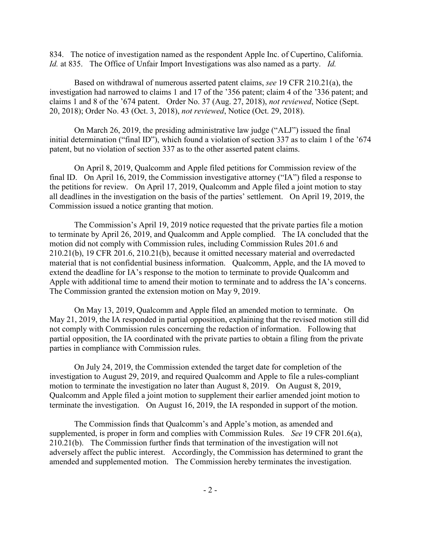834. The notice of investigation named as the respondent Apple Inc. of Cupertino, California. *Id.* at 835. The Office of Unfair Import Investigations was also named as a party. *Id.*

Based on withdrawal of numerous asserted patent claims, *see* 19 CFR 210.21(a), the investigation had narrowed to claims 1 and 17 of the '356 patent; claim 4 of the '336 patent; and claims 1 and 8 of the '674 patent. Order No. 37 (Aug. 27, 2018), *not reviewed*, Notice (Sept. 20, 2018); Order No. 43 (Oct. 3, 2018), *not reviewed*, Notice (Oct. 29, 2018).

On March 26, 2019, the presiding administrative law judge ("ALJ") issued the final initial determination ("final ID"), which found a violation of section 337 as to claim 1 of the '674 patent, but no violation of section 337 as to the other asserted patent claims.

On April 8, 2019, Qualcomm and Apple filed petitions for Commission review of the final ID. On April 16, 2019, the Commission investigative attorney ("IA") filed a response to the petitions for review. On April 17, 2019, Qualcomm and Apple filed a joint motion to stay all deadlines in the investigation on the basis of the parties' settlement. On April 19, 2019, the Commission issued a notice granting that motion.

The Commission's April 19, 2019 notice requested that the private parties file a motion to terminate by April 26, 2019, and Qualcomm and Apple complied. The IA concluded that the motion did not comply with Commission rules, including Commission Rules 201.6 and 210.21(b), 19 CFR 201.6, 210.21(b), because it omitted necessary material and overredacted material that is not confidential business information. Qualcomm, Apple, and the IA moved to extend the deadline for IA's response to the motion to terminate to provide Qualcomm and Apple with additional time to amend their motion to terminate and to address the IA's concerns. The Commission granted the extension motion on May 9, 2019.

On May 13, 2019, Qualcomm and Apple filed an amended motion to terminate. On May 21, 2019, the IA responded in partial opposition, explaining that the revised motion still did not comply with Commission rules concerning the redaction of information. Following that partial opposition, the IA coordinated with the private parties to obtain a filing from the private parties in compliance with Commission rules.

On July 24, 2019, the Commission extended the target date for completion of the investigation to August 29, 2019, and required Qualcomm and Apple to file a rules-compliant motion to terminate the investigation no later than August 8, 2019. On August 8, 2019, Qualcomm and Apple filed a joint motion to supplement their earlier amended joint motion to terminate the investigation. On August 16, 2019, the IA responded in support of the motion.

The Commission finds that Qualcomm's and Apple's motion, as amended and supplemented, is proper in form and complies with Commission Rules. *See* 19 CFR 201.6(a), 210.21(b). The Commission further finds that termination of the investigation will not adversely affect the public interest. Accordingly, the Commission has determined to grant the amended and supplemented motion. The Commission hereby terminates the investigation.